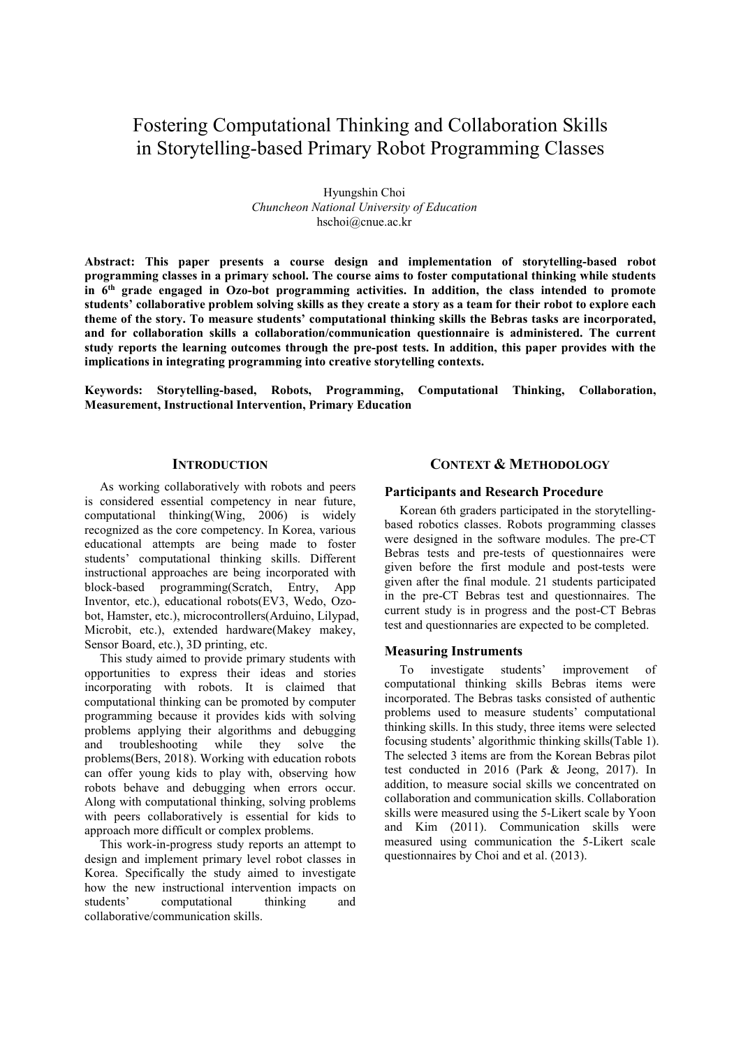# Fostering Computational Thinking and Collaboration Skills in Storytelling-based Primary Robot Programming Classes

Hyungshin Choi *Chuncheon National University of Education* hschoi@cnue.ac.kr

**Abstract: This paper presents a course design and implementation of storytelling-based robot programming classes in a primary school. The course aims to foster computational thinking while students in 6th grade engaged in Ozo-bot programming activities. In addition, the class intended to promote students' collaborative problem solving skills as they create a story as a team for their robot to explore each theme of the story. To measure students' computational thinking skills the Bebras tasks are incorporated, and for collaboration skills a collaboration/communication questionnaire is administered. The current study reports the learning outcomes through the pre-post tests. In addition, this paper provides with the implications in integrating programming into creative storytelling contexts.** 

**Keywords: Storytelling-based, Robots, Programming, Computational Thinking, Collaboration, Measurement, Instructional Intervention, Primary Education** 

### **INTRODUCTION**

As working collaboratively with robots and peers is considered essential competency in near future, computational thinking(Wing, 2006) is widely recognized as the core competency. In Korea, various educational attempts are being made to foster students' computational thinking skills. Different instructional approaches are being incorporated with block-based programming(Scratch, Entry, App Inventor, etc.), educational robots(EV3, Wedo, Ozobot, Hamster, etc.), microcontrollers(Arduino, Lilypad, Microbit, etc.), extended hardware(Makey makey, Sensor Board, etc.), 3D printing, etc.

This study aimed to provide primary students with opportunities to express their ideas and stories incorporating with robots. It is claimed that computational thinking can be promoted by computer programming because it provides kids with solving problems applying their algorithms and debugging and troubleshooting while they solve the problems(Bers, 2018). Working with education robots can offer young kids to play with, observing how robots behave and debugging when errors occur. Along with computational thinking, solving problems with peers collaboratively is essential for kids to approach more difficult or complex problems.

This work-in-progress study reports an attempt to design and implement primary level robot classes in Korea. Specifically the study aimed to investigate how the new instructional intervention impacts on students' computational thinking and collaborative/communication skills.

### **CONTEXT & METHODOLOGY**

#### **Participants and Research Procedure**

Korean 6th graders participated in the storytellingbased robotics classes. Robots programming classes were designed in the software modules. The pre-CT Bebras tests and pre-tests of questionnaires were given before the first module and post-tests were given after the final module. 21 students participated in the pre-CT Bebras test and questionnaires. The current study is in progress and the post-CT Bebras test and questionnaries are expected to be completed.

#### **Measuring Instruments**

To investigate students' improvement of computational thinking skills Bebras items were incorporated. The Bebras tasks consisted of authentic problems used to measure students' computational thinking skills. In this study, three items were selected focusing students' algorithmic thinking skills(Table 1). The selected 3 items are from the Korean Bebras pilot test conducted in 2016 (Park & Jeong, 2017). In addition, to measure social skills we concentrated on collaboration and communication skills. Collaboration skills were measured using the 5-Likert scale by Yoon and Kim (2011). Communication skills were measured using communication the 5-Likert scale questionnaires by Choi and et al. (2013).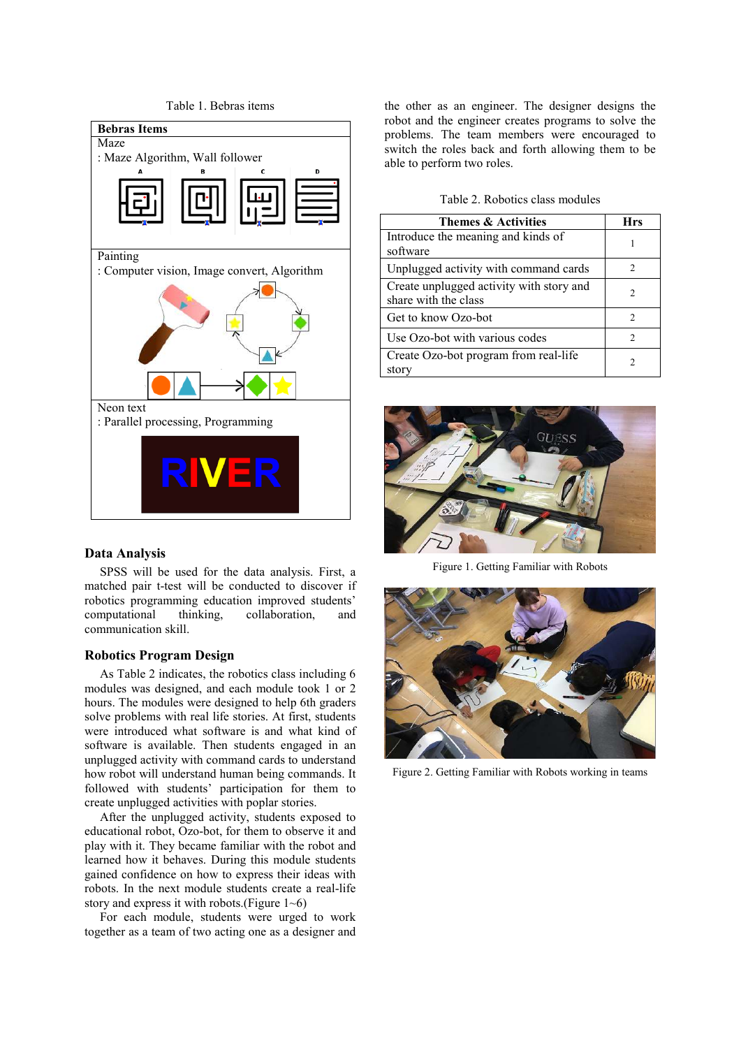

### **Data Analysis**

SPSS will be used for the data analysis. First, a matched pair t-test will be conducted to discover if robotics programming education improved students' computational thinking, collaboration, and communication skill.

#### **Robotics Program Design**

As Table 2 indicates, the robotics class including 6 modules was designed, and each module took 1 or 2 hours. The modules were designed to help 6th graders solve problems with real life stories. At first, students were introduced what software is and what kind of software is available. Then students engaged in an unplugged activity with command cards to understand how robot will understand human being commands. It followed with students' participation for them to create unplugged activities with poplar stories.

After the unplugged activity, students exposed to educational robot, Ozo-bot, for them to observe it and play with it. They became familiar with the robot and learned how it behaves. During this module students gained confidence on how to express their ideas with robots. In the next module students create a real-life story and express it with robots.(Figure 1~6)

For each module, students were urged to work together as a team of two acting one as a designer and the other as an engineer. The designer designs the robot and the engineer creates programs to solve the problems. The team members were encouraged to switch the roles back and forth allowing them to be able to perform two roles.

| Table 2. Robotics class modules |
|---------------------------------|
|---------------------------------|

| Themes & Activities                                              | Hrs |
|------------------------------------------------------------------|-----|
| Introduce the meaning and kinds of<br>software                   |     |
| Unplugged activity with command cards                            | 2   |
| Create unplugged activity with story and<br>share with the class | 2   |
| Get to know Ozo-bot                                              | 2   |
| Use Ozo-bot with various codes                                   | 2   |
| Create Ozo-bot program from real-life<br>story                   | 2   |



Figure 1. Getting Familiar with Robots



Figure 2. Getting Familiar with Robots working in teams